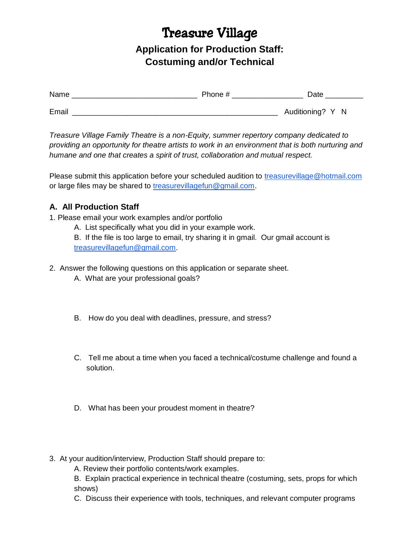# Treasure Village

**Application for Production Staff: Costuming and/or Technical**

| Name  | Phone # | Date             |
|-------|---------|------------------|
| Email |         | Auditioning? Y N |

*Treasure Village Family Theatre is a non-Equity, summer repertory company dedicated to providing an opportunity for theatre artists to work in an environment that is both nurturing and humane and one that creates a spirit of trust, collaboration and mutual respect.*

Please submit this application before your scheduled audition to [treasurevillage@hotmail.com](mailto:treasurevillage@hotmail.com) or large files may be shared to [treasurevillagefun@gmail.com.](mailto:treasurevillagefun@gmail.com)

## **A. All Production Staff**

1. Please email your work examples and/or portfolio

A. List specifically what you did in your example work.

B. If the file is too large to email, try sharing it in gmail. Our gmail account is [treasurevillagefun@gmail.com.](mailto:treasurevillagefun@gmail.com)

- 2. Answer the following questions on this application or separate sheet.
	- A. What are your professional goals?
	- B. How do you deal with deadlines, pressure, and stress?
	- C. Tell me about a time when you faced a technical/costume challenge and found a solution.
	- D. What has been your proudest moment in theatre?
- 3. At your audition/interview, Production Staff should prepare to:
	- A. Review their portfolio contents/work examples.

B. Explain practical experience in technical theatre (costuming, sets, props for which shows)

C. Discuss their experience with tools, techniques, and relevant computer programs